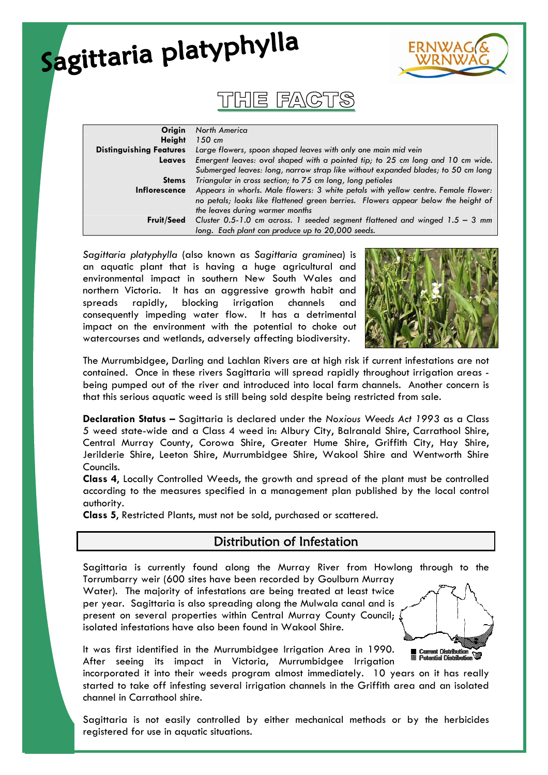| Sagittaria platyphylla                          |                                                                                                                                                                                                                                      |  |
|-------------------------------------------------|--------------------------------------------------------------------------------------------------------------------------------------------------------------------------------------------------------------------------------------|--|
|                                                 | THE FAC                                                                                                                                                                                                                              |  |
| Origin<br><b>Height</b>                         | North America<br>$150$ cm                                                                                                                                                                                                            |  |
| <b>Distinguishing Features</b><br><b>Leaves</b> | Large flowers, spoon shaped leaves with only one main mid vein<br>Emergent leaves: oval shaped with a pointed tip; to 25 cm long and 10 cm wide.<br>Submerged leaves: long, narrow strap like without expanded blades; to 50 cm long |  |
| <b>Stems</b>                                    | Triangular in cross section; to 75 cm long, long petioles                                                                                                                                                                            |  |
| <b>Inflorescence</b>                            | Appears in whorls. Male flowers: 3 white petals with yellow centre. Female flower:<br>no petals; looks like flattened green berries. Flowers appear below the height of<br>the leaves during warmer months                           |  |
| <b>Fruit/Seed</b>                               | Cluster 0.5-1.0 cm across. 1 seeded segment flattened and winged $1.5 - 3$ mm<br>long. Each plant can produce up to 20,000 seeds.                                                                                                    |  |

*Sagittaria platyphylla* (also known as *Sagittaria graminea*) is an aquatic plant that is having a huge agricultural and environmental impact in southern New South Wales and northern Victoria. It has an aggressive growth habit and spreads rapidly, blocking irrigation channels and consequently impeding water flow. It has a detrimental impact on the environment with the potential to choke out watercourses and wetlands, adversely affecting biodiversity.



The Murrumbidgee, Darling and Lachlan Rivers are at high risk if current infestations are not contained. Once in these rivers Sagittaria will spread rapidly throughout irrigation areas being pumped out of the river and introduced into local farm channels. Another concern is that this serious aquatic weed is still being sold despite being restricted from sale.

**Declaration Status –** Sagittaria is declared under the *Noxious Weeds Act 1993* as a Class 5 weed state-wide and a Class 4 weed in: Albury City, Balranald Shire, Carrathool Shire, Central Murray County, Corowa Shire, Greater Hume Shire, Griffith City, Hay Shire, Jerilderie Shire, Leeton Shire, Murrumbidgee Shire, Wakool Shire and Wentworth Shire Councils.

**Class 4**, Locally Controlled Weeds, the growth and spread of the plant must be controlled according to the measures specified in a management plan published by the local control authority.

**Class 5**, Restricted Plants, must not be sold, purchased or scattered.

### Distribution of Infestation

Sagittaria is currently found along the Murray River from Howlong through to the Torrumbarry weir (600 sites have been recorded by Goulburn Murray

Water). The majority of infestations are being treated at least twice per year. Sagittaria is also spreading along the Mulwala canal and is present on several properties within Central Murray County Council; isolated infestations have also been found in Wakool Shire.



It was first identified in the Murrumbidgee Irrigation Area in 1990. After seeing its impact in Victoria, Murrumbidgee Irrigation

incorporated it into their weeds program almost immediately. 10 years on it has really started to take off infesting several irrigation channels in the Griffith area and an isolated channel in Carrathool shire.

Sagittaria is not easily controlled by either mechanical methods or by the herbicides registered for use in aquatic situations.